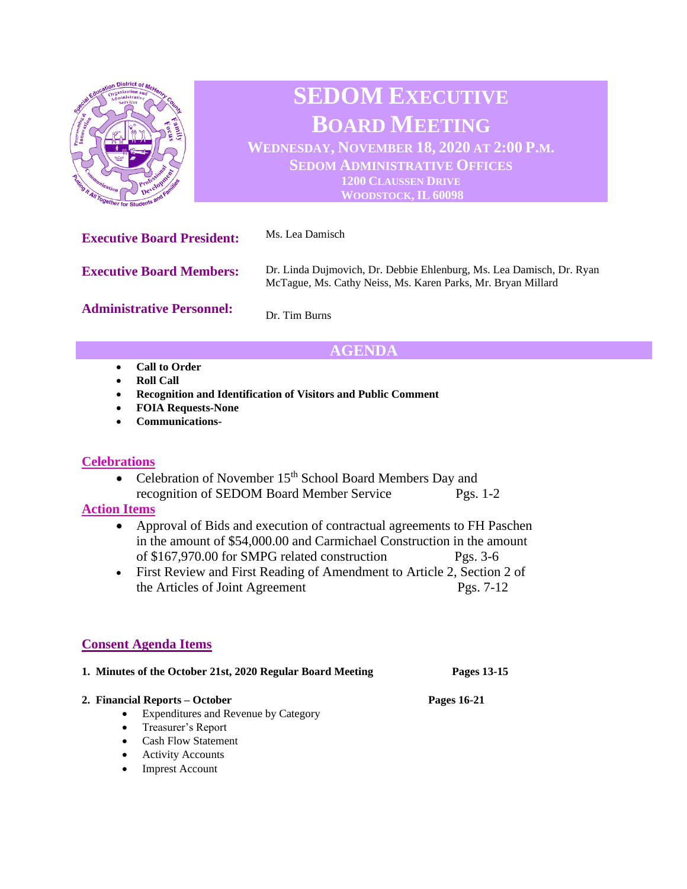

# **SEDOM EXECUTIVE BOARD MEETING**

**WEDNESDAY, NOVEMBER 18, 2020 AT 2:00 P.M. SEDOM ADMINISTRATIVE OFFICES 1200 CLAUSSEN DRIVE WOODSTOCK, IL 60098**

**Executive Board President:** Ms. Lea Damisch **Executive Board Members: Administrative Personnel:** Dr. Linda Dujmovich, Dr. Debbie Ehlenburg, Ms. Lea Damisch, Dr. Ryan McTague, Ms. Cathy Neiss, Ms. Karen Parks, Mr. Bryan Millard Dr. Tim Burns

# **AGENDA**

- **Call to Order**
- **Roll Call**
- **Recognition and Identification of Visitors and Public Comment**
- **FOIA Requests-None**
- **Communications-**

## **Celebrations**

• Celebration of November  $15<sup>th</sup>$  School Board Members Day and recognition of SEDOM Board Member Service Pgs. 1-2

## **Action Items**

- Approval of Bids and execution of contractual agreements to FH Paschen in the amount of \$54,000.00 and Carmichael Construction in the amount of \$167,970.00 for SMPG related construction Pgs. 3-6
- First Review and First Reading of Amendment to Article 2, Section 2 of the Articles of Joint Agreement Pgs. 7-12

# **Consent Agenda Items**

| 1. Minutes of the October 21st, 2020 Regular Board Meeting | Pages 13-15 |
|------------------------------------------------------------|-------------|
|------------------------------------------------------------|-------------|

#### **2. Financial Reports – October Pages 16-21**

- Expenditures and Revenue by Category
- Treasurer's Report
- Cash Flow Statement
- Activity Accounts
- Imprest Account